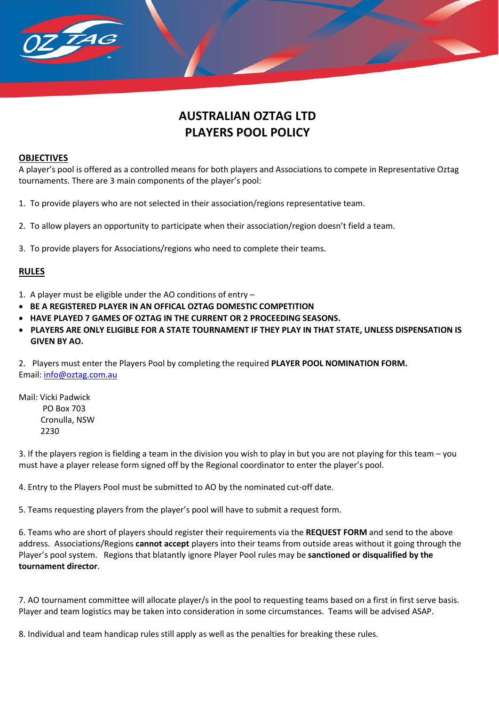

### **OBJECTIVES**

TAG

A player's pool is offered as a controlled means for both players and Associations to compete in Representative Oztag tournaments. There are 3 main components of the player's pool:

- 1. To provide players who are not selected in their association/regions representative team.
- 2. To allow players an opportunity to participate when their association/region doesn't field a team.
- 3. To provide players for Associations/regions who need to complete their teams.

# **RULES**

- 1. A player must be eligible under the AO conditions of entry –
- **BE A REGISTERED PLAYER IN AN OFFICAL OZTAG DOMESTIC COMPETITION**
- **HAVE PLAYED 7 GAMES OF OZTAG IN THE CURRENT OR 2 PROCEEDING SEASONS.**
- **PLAYERS ARE ONLY ELIGIBLE FOR A STATE TOURNAMENT IF THEY PLAY IN THAT STATE, UNLESS DISPENSATION IS GIVEN BY AO.**

2. Players must enter the Players Pool by completing the required **PLAYER POOL NOMINATION FORM.** Email: [info@oztag.com.au](mailto:info@oztag.com.au)

Mail: Vicki Padwick PO Box 703 Cronulla, NSW 2230

3. If the players region is fielding a team in the division you wish to play in but you are not playing for this team – you must have a player release form signed off by the Regional coordinator to enter the player's pool.

4. Entry to the Players Pool must be submitted to AO by the nominated cut-off date.

5. Teams requesting players from the player's pool will have to submit a request form.

6. Teams who are short of players should register their requirements via the **REQUEST FORM** and send to the above address. Associations/Regions **cannot accept** players into their teams from outside areas without it going through the Player's pool system. Regions that blatantly ignore Player Pool rules may be **sanctioned or disqualified by the tournament director**.

7. AO tournament committee will allocate player/s in the pool to requesting teams based on a first in first serve basis. Player and team logistics may be taken into consideration in some circumstances. Teams will be advised ASAP.

8. Individual and team handicap rules still apply as well as the penalties for breaking these rules.